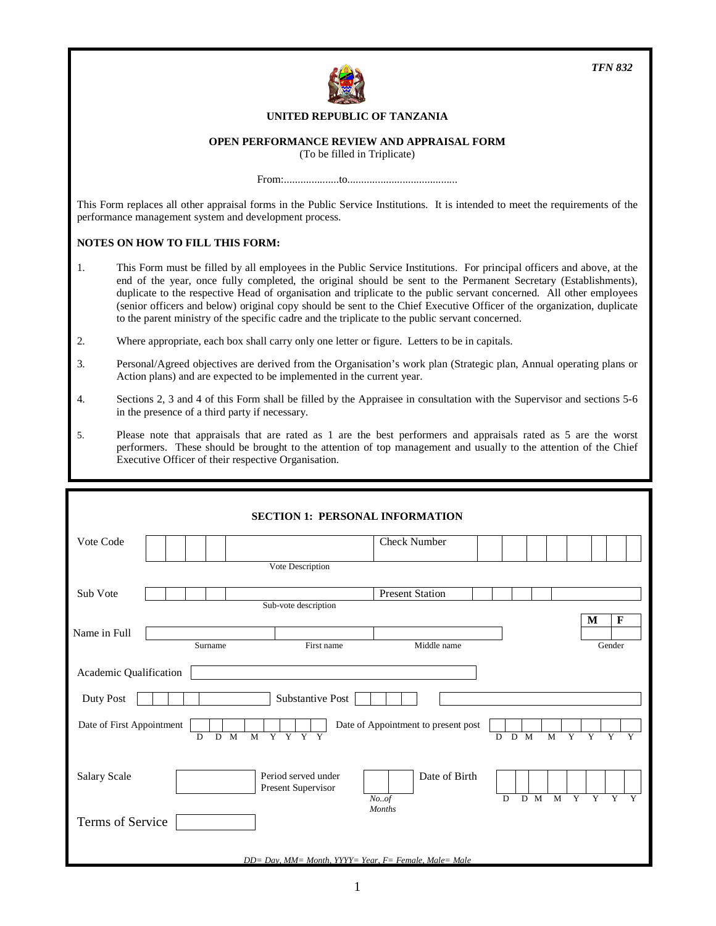

#### **UNITED REPUBLIC OF TANZANIA**

#### **OPEN PERFORMANCE REVIEW AND APPRAISAL FORM**

(To be filled in Triplicate)

From:....................to........................................

This Form replaces all other appraisal forms in the Public Service Institutions. It is intended to meet the requirements of the performance management system and development process.

#### **NOTES ON HOW TO FILL THIS FORM:**

- 1. This Form must be filled by all employees in the Public Service Institutions. For principal officers and above, at the end of the year, once fully completed, the original should be sent to the Permanent Secretary (Establishments), duplicate to the respective Head of organisation and triplicate to the public servant concerned. All other employees (senior officers and below) original copy should be sent to the Chief Executive Officer of the organization, duplicate to the parent ministry of the specific cadre and the triplicate to the public servant concerned.
- 2. Where appropriate, each box shall carry only one letter or figure. Letters to be in capitals.
- 3. Personal/Agreed objectives are derived from the Organisation's work plan (Strategic plan, Annual operating plans or Action plans) and are expected to be implemented in the current year.
- 4. Sections 2, 3 and 4 of this Form shall be filled by the Appraisee in consultation with the Supervisor and sections 5-6 in the presence of a third party if necessary.
- 5. Please note that appraisals that are rated as 1 are the best performers and appraisals rated as 5 are the worst performers. These should be brought to the attention of top management and usually to the attention of the Chief Executive Officer of their respective Organisation.

|                                                                                                                             | <b>SECTION 1: PERSONAL INFORMATION</b>                    |                                          |                                                |                                                    |  |  |
|-----------------------------------------------------------------------------------------------------------------------------|-----------------------------------------------------------|------------------------------------------|------------------------------------------------|----------------------------------------------------|--|--|
| Vote Code                                                                                                                   |                                                           | <b>Check Number</b>                      |                                                |                                                    |  |  |
|                                                                                                                             | Vote Description                                          |                                          |                                                |                                                    |  |  |
| Sub Vote                                                                                                                    |                                                           | <b>Present Station</b>                   |                                                |                                                    |  |  |
|                                                                                                                             | Sub-vote description                                      |                                          |                                                |                                                    |  |  |
|                                                                                                                             |                                                           |                                          |                                                | M<br>$\mathbf F$                                   |  |  |
| Name in Full                                                                                                                |                                                           |                                          |                                                |                                                    |  |  |
|                                                                                                                             | Surname<br>First name                                     | Middle name                              |                                                | Gender                                             |  |  |
| Academic Qualification<br>Substantive Post<br>Duty Post<br>Date of First Appointment<br>Date of Appointment to present post |                                                           |                                          |                                                |                                                    |  |  |
| D                                                                                                                           | Y Y Y Y<br>$\overline{M}$<br>D<br>M                       |                                          | $\overline{M}$<br>$\overline{Y}$<br>$D$ M<br>D | $\overline{Y}$<br>$\overline{Y}$<br>$\overline{Y}$ |  |  |
| <b>Salary Scale</b>                                                                                                         | Period served under<br>Present Supervisor                 | Date of Birth<br>No. of<br><b>Months</b> | $D$ M<br>Y<br>M<br>$\overline{D}$              | Y<br>$\overline{Y}$<br>$\overline{\mathbf{Y}}$     |  |  |
| Terms of Service                                                                                                            |                                                           |                                          |                                                |                                                    |  |  |
|                                                                                                                             | $DD = Day$ , MM= Month, YYYY= Year, F= Female, Male= Male |                                          |                                                |                                                    |  |  |

*TFN 832*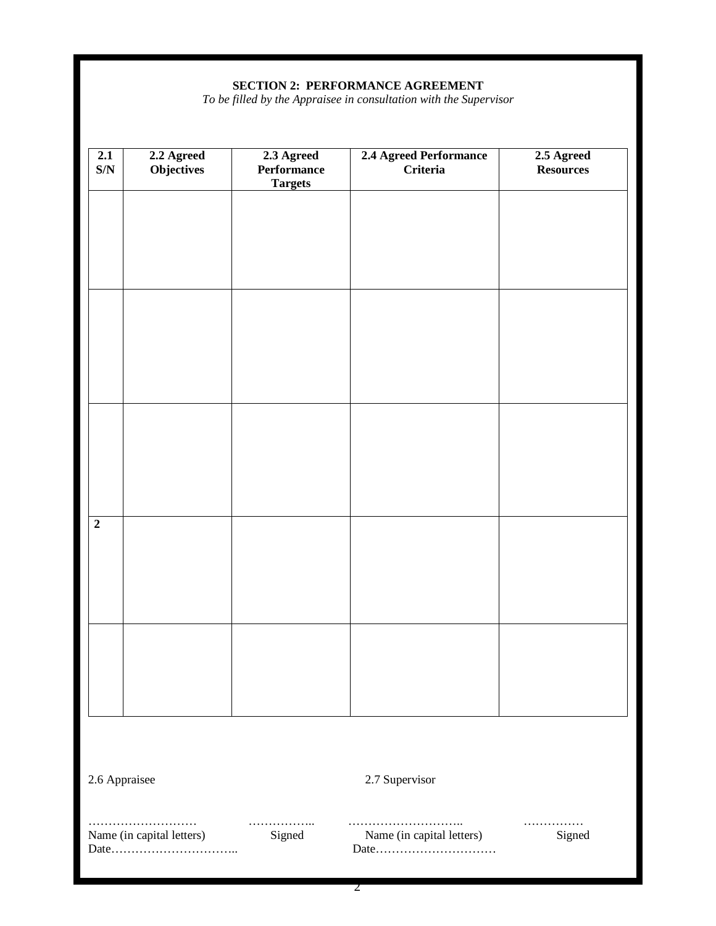#### **SECTION 2: PERFORMANCE AGREEMENT**

*To be filled by the Appraisee in consultation with the Supervisor* 

| 2.1<br>$\mathbf{S/N}$ | 2.2 Agreed<br>Objectives  | 2.3 Agreed<br>Performance<br><b>Targets</b> | 2.4 Agreed Performance<br><b>Criteria</b> | 2.5 Agreed<br><b>Resources</b> |
|-----------------------|---------------------------|---------------------------------------------|-------------------------------------------|--------------------------------|
|                       |                           |                                             |                                           |                                |
|                       |                           |                                             |                                           |                                |
|                       |                           |                                             |                                           |                                |
|                       |                           |                                             |                                           |                                |
|                       |                           |                                             |                                           |                                |
|                       |                           |                                             |                                           |                                |
| $\overline{2}$        |                           |                                             |                                           |                                |
|                       |                           |                                             |                                           |                                |
|                       |                           |                                             |                                           |                                |
|                       |                           |                                             |                                           |                                |
|                       |                           |                                             |                                           |                                |
| 2.6 Appraisee         |                           |                                             | 2.7 Supervisor                            |                                |
|                       | Name (in capital letters) | .<br>Signed                                 | Name (in capital letters)<br>Date         | .<br>Signed                    |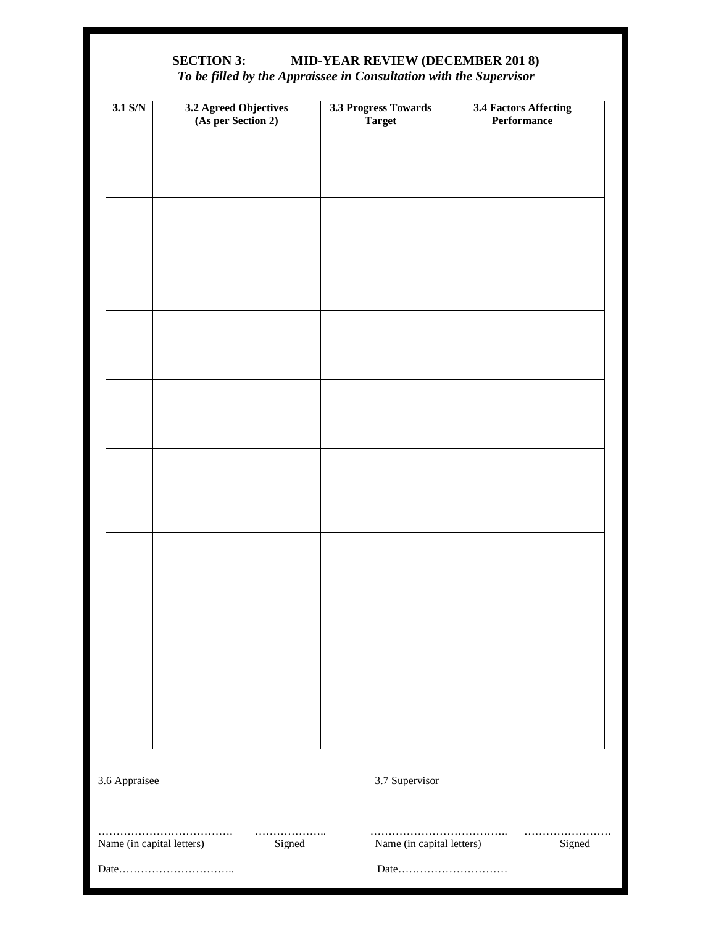# **SECTION 3: MID-YEAR REVIEW (DECEMBER 201 8)**  *To be filled by the Appraissee in Consultation with the Supervisor*

| $3.1$ S/N                 | 3.2 Agreed Objectives<br>(As per Section 2) | 3.3 Progress Towards<br><b>Target</b> | <b>3.4 Factors Affecting</b><br>Performance |
|---------------------------|---------------------------------------------|---------------------------------------|---------------------------------------------|
|                           |                                             |                                       |                                             |
|                           |                                             |                                       |                                             |
|                           |                                             |                                       |                                             |
|                           |                                             |                                       |                                             |
|                           |                                             |                                       |                                             |
|                           |                                             |                                       |                                             |
|                           |                                             |                                       |                                             |
|                           |                                             |                                       |                                             |
|                           |                                             |                                       |                                             |
|                           |                                             |                                       |                                             |
|                           |                                             |                                       |                                             |
|                           |                                             |                                       |                                             |
|                           |                                             |                                       |                                             |
|                           |                                             |                                       |                                             |
|                           |                                             |                                       |                                             |
|                           |                                             |                                       |                                             |
|                           |                                             |                                       |                                             |
|                           |                                             |                                       |                                             |
|                           |                                             |                                       |                                             |
|                           |                                             |                                       |                                             |
|                           |                                             |                                       |                                             |
|                           |                                             |                                       |                                             |
|                           |                                             |                                       |                                             |
| 3.6 Appraisee             |                                             | 3.7 Supervisor                        |                                             |
|                           |                                             |                                       |                                             |
| Name (in capital letters) | .<br>Signed                                 | Name (in capital letters)             | Signed                                      |
|                           |                                             |                                       | Date                                        |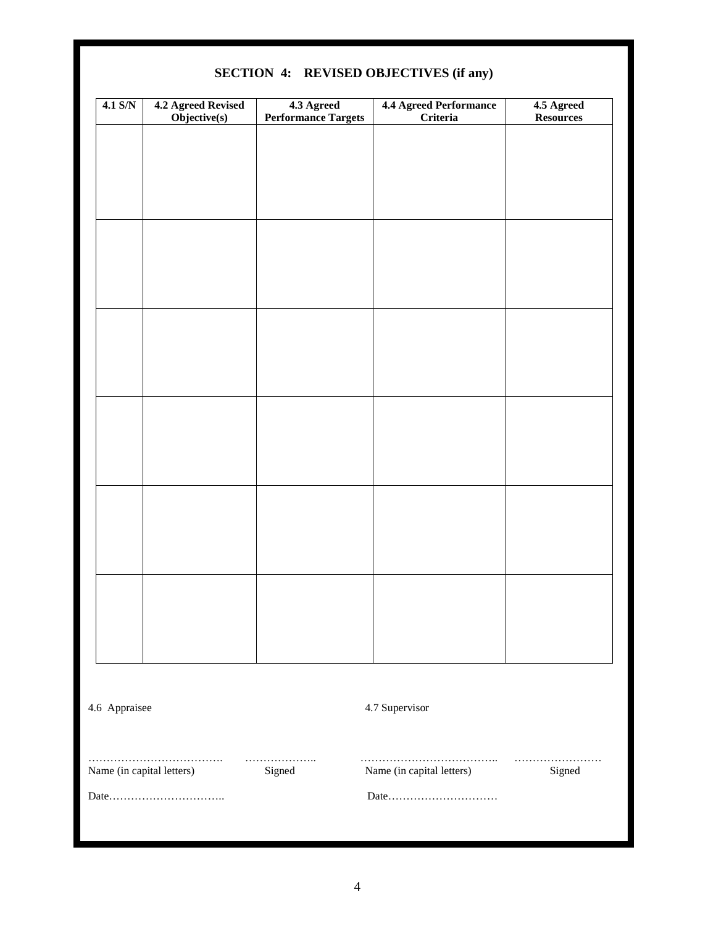| $4.1$ S/N     | 4.2 Agreed Revised<br>Objective(s) | 4.3 Agreed<br><b>Performance Targets</b> | <b>4.4 Agreed Performance</b><br>Criteria | 4.5 Agreed<br><b>Resources</b> |
|---------------|------------------------------------|------------------------------------------|-------------------------------------------|--------------------------------|
|               |                                    |                                          |                                           |                                |
|               |                                    |                                          |                                           |                                |
|               |                                    |                                          |                                           |                                |
|               |                                    |                                          |                                           |                                |
|               |                                    |                                          |                                           |                                |
|               |                                    |                                          |                                           |                                |
|               |                                    |                                          |                                           |                                |
|               |                                    |                                          |                                           |                                |
|               |                                    |                                          |                                           |                                |
|               |                                    |                                          |                                           |                                |
|               |                                    |                                          |                                           |                                |
|               |                                    |                                          |                                           |                                |
|               |                                    |                                          |                                           |                                |
|               |                                    |                                          |                                           |                                |
|               |                                    |                                          |                                           |                                |
|               |                                    |                                          |                                           |                                |
|               |                                    |                                          |                                           |                                |
|               |                                    |                                          |                                           |                                |
| 4.6 Appraisee |                                    |                                          | 4.7 Supervisor                            |                                |
|               | Name (in capital letters)          | .<br>Signed                              | Name (in capital letters)                 | .<br>Signed                    |
|               |                                    |                                          | Date                                      |                                |
|               |                                    |                                          |                                           |                                |

## **SECTION 4: REVISED OBJECTIVES (if any)**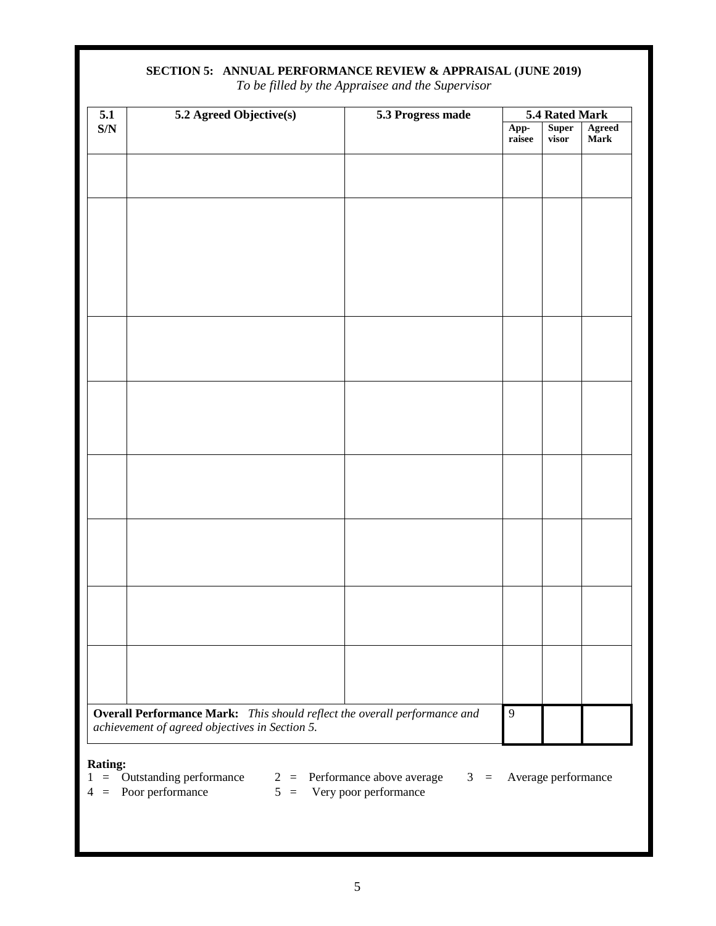| 5.1                     | 5.2 Agreed Objective(s)                                                   | 5.3 Progress made | 5.4 Rated Mark |                |                       |
|-------------------------|---------------------------------------------------------------------------|-------------------|----------------|----------------|-----------------------|
| $\mathbf{S}/\mathbf{N}$ |                                                                           |                   | App-<br>raisee | Super<br>visor | <b>Agreed</b><br>Mark |
|                         |                                                                           |                   |                |                |                       |
|                         |                                                                           |                   |                |                |                       |
|                         |                                                                           |                   |                |                |                       |
|                         |                                                                           |                   |                |                |                       |
|                         |                                                                           |                   |                |                |                       |
|                         |                                                                           |                   |                |                |                       |
|                         |                                                                           |                   |                |                |                       |
|                         |                                                                           |                   |                |                |                       |
|                         |                                                                           |                   |                |                |                       |
|                         |                                                                           |                   |                |                |                       |
|                         |                                                                           |                   |                |                |                       |
|                         |                                                                           |                   |                |                |                       |
|                         |                                                                           |                   |                |                |                       |
|                         |                                                                           |                   |                |                |                       |
|                         |                                                                           |                   |                |                |                       |
|                         |                                                                           |                   |                |                |                       |
|                         |                                                                           |                   |                |                |                       |
|                         |                                                                           |                   |                |                |                       |
|                         |                                                                           |                   |                |                |                       |
|                         |                                                                           |                   |                |                |                       |
|                         |                                                                           |                   |                |                |                       |
|                         |                                                                           |                   |                |                |                       |
|                         |                                                                           |                   |                |                |                       |
|                         | Overall Performance Mark: This should reflect the overall performance and |                   | $\overline{9}$ |                |                       |
|                         | achievement of agreed objectives in Section 5.                            |                   |                |                |                       |

#### **SECTION 5: ANNUAL PERFORMANCE REVIEW & APPRAISAL (JUNE 2019)**

*To be filled by the Appraisee and the Supervisor* 

- $1 =$  Outstanding performance  $2 =$  Performance above average  $3 =$  Average performance
	-
- 
- $4 =$  Poor performance  $5 =$  Very poor performance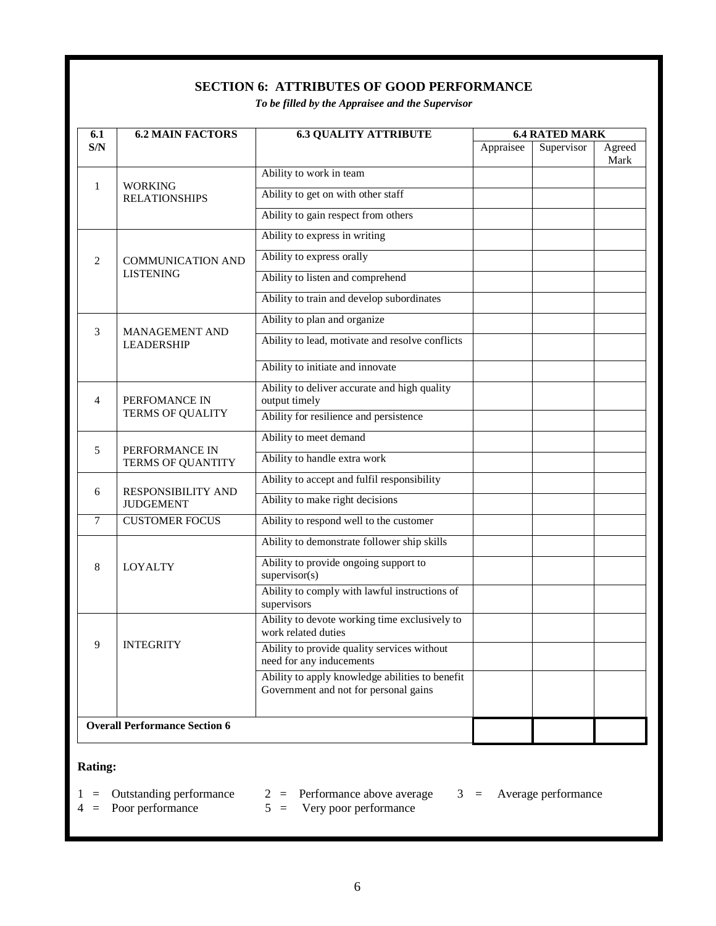# **SECTION 6: ATTRIBUTES OF GOOD PERFORMANCE**

*To be filled by the Appraisee and the Supervisor* 

| 6.1 | <b>6.2 MAIN FACTORS</b>                    | <b>6.3 QUALITY ATTRIBUTE</b>                                                             | <b>6.4 RATED MARK</b> |            |                |
|-----|--------------------------------------------|------------------------------------------------------------------------------------------|-----------------------|------------|----------------|
| S/N |                                            |                                                                                          | Appraisee             | Supervisor | Agreed<br>Mark |
|     |                                            | Ability to work in team                                                                  |                       |            |                |
| 1   | <b>WORKING</b><br><b>RELATIONSHIPS</b>     | Ability to get on with other staff                                                       |                       |            |                |
|     |                                            | Ability to gain respect from others                                                      |                       |            |                |
|     |                                            | Ability to express in writing                                                            |                       |            |                |
| 2   | <b>COMMUNICATION AND</b>                   | Ability to express orally                                                                |                       |            |                |
|     | <b>LISTENING</b>                           | Ability to listen and comprehend                                                         |                       |            |                |
|     |                                            | Ability to train and develop subordinates                                                |                       |            |                |
|     |                                            | Ability to plan and organize                                                             |                       |            |                |
| 3   | <b>MANAGEMENT AND</b><br><b>LEADERSHIP</b> | Ability to lead, motivate and resolve conflicts                                          |                       |            |                |
|     |                                            | Ability to initiate and innovate                                                         |                       |            |                |
| 4   | PERFOMANCE IN                              | Ability to deliver accurate and high quality<br>output timely                            |                       |            |                |
|     | <b>TERMS OF QUALITY</b>                    | Ability for resilience and persistence                                                   |                       |            |                |
|     |                                            | Ability to meet demand                                                                   |                       |            |                |
| 5   | PERFORMANCE IN<br>TERMS OF QUANTITY        | Ability to handle extra work                                                             |                       |            |                |
|     |                                            | Ability to accept and fulfil responsibility                                              |                       |            |                |
| 6   | RESPONSIBILITY AND<br><b>JUDGEMENT</b>     | Ability to make right decisions                                                          |                       |            |                |
| 7   | <b>CUSTOMER FOCUS</b>                      | Ability to respond well to the customer                                                  |                       |            |                |
|     |                                            | Ability to demonstrate follower ship skills                                              |                       |            |                |
| 8   | <b>LOYALTY</b>                             | Ability to provide ongoing support to<br>supervisor(s)                                   |                       |            |                |
|     |                                            | Ability to comply with lawful instructions of<br>supervisors                             |                       |            |                |
|     | <b>INTEGRITY</b>                           | Ability to devote working time exclusively to<br>work related duties                     |                       |            |                |
| 9   |                                            | Ability to provide quality services without<br>need for any inducements                  |                       |            |                |
|     |                                            | Ability to apply knowledge abilities to benefit<br>Government and not for personal gains |                       |            |                |
|     | <b>Overall Performance Section 6</b>       |                                                                                          |                       |            |                |

#### **Rating:**

 $1 =$  Outstanding performance  $2 =$  Performance above average  $3 =$  Average performance  $4 =$  Poor performance  $5 =$  Very poor performance